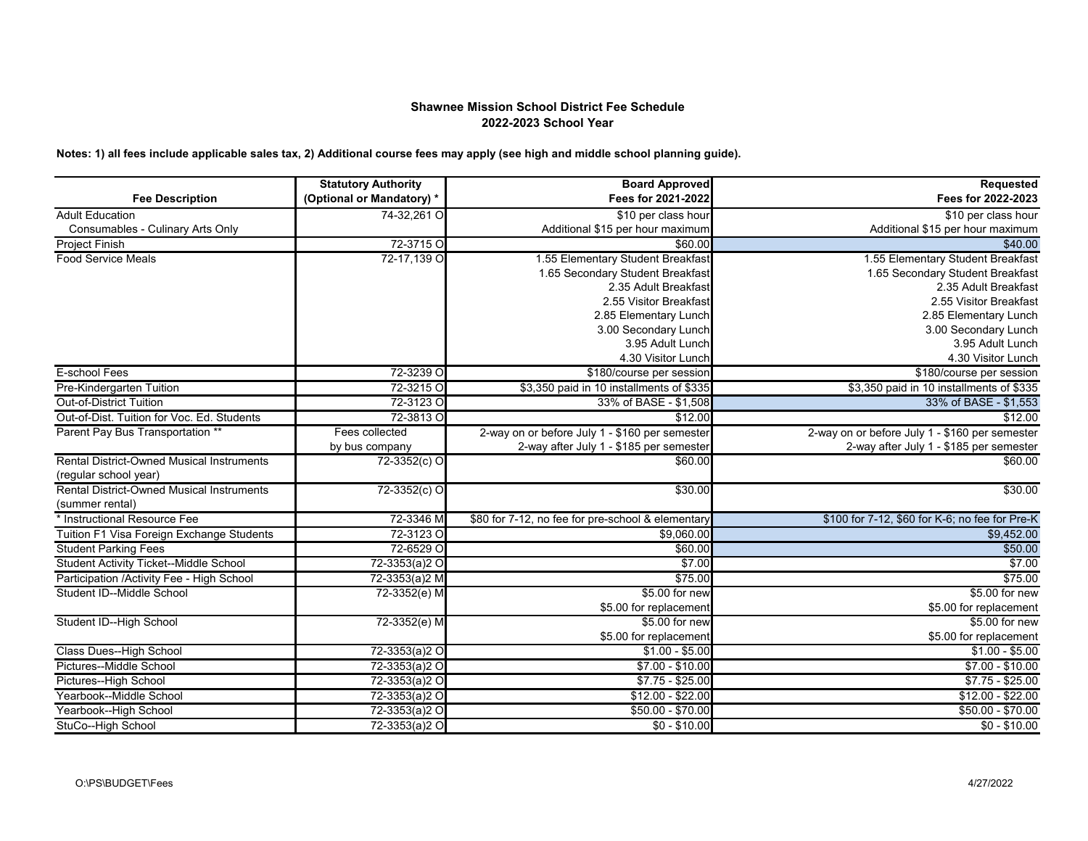## **Shawnee Mission School District Fee Schedule 2022-2023 School Year**

**Notes: 1) all fees include applicable sales tax, 2) Additional course fees may apply (see high and middle school planning guide).**

|                                                                           | <b>Statutory Authority</b> | <b>Board Approved</b>                             | <b>Requested</b>                               |
|---------------------------------------------------------------------------|----------------------------|---------------------------------------------------|------------------------------------------------|
| <b>Fee Description</b>                                                    | (Optional or Mandatory) *  | Fees for 2021-2022                                | Fees for 2022-2023                             |
| <b>Adult Education</b>                                                    | 74-32.261 O                | \$10 per class hour                               | \$10 per class hour                            |
| Consumables - Culinary Arts Only                                          |                            | Additional \$15 per hour maximum                  | Additional \$15 per hour maximum               |
| <b>Project Finish</b>                                                     | 72-3715 O                  | \$60.00                                           | \$40.00                                        |
| <b>Food Service Meals</b>                                                 | 72-17,139 O                | 1.55 Elementary Student Breakfast                 | 1.55 Elementary Student Breakfast              |
|                                                                           |                            | 1.65 Secondary Student Breakfast                  | 1.65 Secondary Student Breakfast               |
|                                                                           |                            | 2.35 Adult Breakfast                              | 2.35 Adult Breakfast                           |
|                                                                           |                            | 2.55 Visitor Breakfast                            | 2.55 Visitor Breakfast                         |
|                                                                           |                            | 2.85 Elementary Lunch                             | 2.85 Elementary Lunch                          |
|                                                                           |                            | 3.00 Secondary Lunch                              | 3.00 Secondary Lunch                           |
|                                                                           |                            | 3.95 Adult Lunch                                  | 3.95 Adult Lunch                               |
|                                                                           |                            | 4.30 Visitor Lunch                                | 4.30 Visitor Lunch                             |
| E-school Fees                                                             | 72-3239 O                  | \$180/course per session                          | \$180/course per session                       |
| Pre-Kindergarten Tuition                                                  | 72-3215 O                  | \$3,350 paid in 10 installments of \$335          | \$3,350 paid in 10 installments of \$335       |
| <b>Out-of-District Tuition</b>                                            | 72-3123 O                  | 33% of BASE - \$1,508                             | 33% of BASE - \$1,553                          |
| Out-of-Dist. Tuition for Voc. Ed. Students                                | 72-3813 O                  | \$12.00                                           | \$12.00                                        |
| Parent Pay Bus Transportation **                                          | Fees collected             | 2-way on or before July 1 - \$160 per semester    | 2-way on or before July 1 - \$160 per semester |
|                                                                           | by bus company             | 2-way after July 1 - \$185 per semester           | 2-way after July 1 - \$185 per semester        |
| <b>Rental District-Owned Musical Instruments</b><br>(regular school year) | 72-3352(c) O               | \$60.00                                           | \$60.00                                        |
| <b>Rental District-Owned Musical Instruments</b>                          | $72 - 3352(c)$ O           | \$30.00                                           | \$30.00                                        |
| (summer rental)                                                           |                            |                                                   |                                                |
| * Instructional Resource Fee                                              | 72-3346 M                  | \$80 for 7-12, no fee for pre-school & elementary | \$100 for 7-12, \$60 for K-6; no fee for Pre-K |
| Tuition F1 Visa Foreign Exchange Students                                 | 72-3123 O                  | \$9,060.00                                        | \$9,452.00                                     |
| <b>Student Parking Fees</b>                                               | 72-6529 O                  | \$60.00                                           | \$50.00                                        |
| Student Activity Ticket--Middle School                                    | 72-3353(a)2 O              | \$7.00                                            | \$7.00                                         |
| Participation /Activity Fee - High School                                 | 72-3353(a)2 M              | \$75.00                                           | \$75.00                                        |
| Student ID--Middle School                                                 | 72-3352(e) M               | \$5.00 for new                                    | \$5.00 for new                                 |
|                                                                           |                            | \$5.00 for replacement                            | \$5.00 for replacement                         |
| Student ID--High School                                                   | 72-3352(e) M               | \$5.00 for new                                    | \$5.00 for new                                 |
|                                                                           |                            | \$5.00 for replacement                            | \$5.00 for replacement                         |
| Class Dues--High School                                                   | 72-3353(a)2 O              | $$1.00 - $5.00$                                   | $$1.00 - $5.00$                                |
| Pictures--Middle School                                                   | 72-3353(a)2 O              | $$7.00 - $10.00$                                  | $$7.00 - $10.00$                               |
| Pictures--High School                                                     | 72-3353(a)2 O              | $$7.75 - $25.00$                                  | $$7.75 - $25.00$                               |
| Yearbook--Middle School                                                   | 72-3353(a)2 O              | $$12.00 - $22.00$                                 | $$12.00 - $22.00$                              |
| Yearbook--High School                                                     | 72-3353(a)2 O              | $$50.00 - $70.00$                                 | $$50.00 - $70.00$                              |
| StuCo--High School                                                        | 72-3353(a)2 O              | $$0 - $10.00$                                     | $$0 - $10.00$                                  |